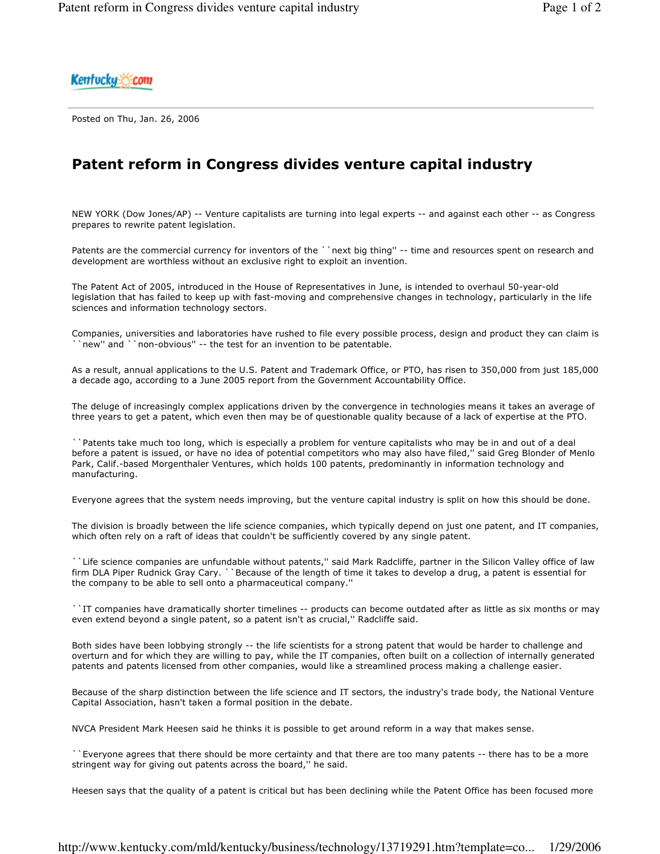Kentucku & com

Posted on Thu, Jan. 26, 2006

## Patent reform in Congress divides venture capital industry

NEW YORK (Dow Jones/AP) -- Venture capitalists are turning into legal experts -- and against each other -- as Congress prepares to rewrite patent legislation.

Patents are the commercial currency for inventors of the ``next big thing" -- time and resources spent on research and development are worthless without an exclusive right to exploit an invention.

The Patent Act of 2005, introduced in the House of Representatives in June, is intended to overhaul 50-year-old legislation that has failed to keep up with fast-moving and comprehensive changes in technology, particularly in the life sciences and information technology sectors.

Companies, universities and laboratories have rushed to file every possible process, design and product they can claim is new" and ''non-obvious" -- the test for an invention to be patentable.

As a result, annual applications to the U.S. Patent and Trademark Office, or PTO, has risen to 350,000 from just 185,000 a decade ago, according to a June 2005 report from the Government Accountability Office.

The deluge of increasingly complex applications driven by the convergence in technologies means it takes an average of three years to get a patent, which even then may be of questionable quality because of a lack of expertise at the PTO.

` `Patents take much too long, which is especially a problem for venture capitalists who may be in and out of a deal before a patent is issued, or have no idea of potential competitors who may also have filed," said Greg Blonder of Menlo Park, Calif.-based Morgenthaler Ventures, which holds 100 patents, predominantly in information technology and manufacturing.

Everyone agrees that the system needs improving, but the venture capital industry is split on how this should be done.

The division is broadly between the life science companies, which typically depend on just one patent, and IT companies, which often rely on a raft of ideas that couldn't be sufficiently covered by any single patent.

` Life science companies are unfundable without patents," said Mark Radcliffe, partner in the Silicon Valley office of law firm DLA Piper Rudnick Gray Cary. ``Because of the length of time it takes to develop a drug, a patent is essential for the company to be able to sell onto a pharmaceutical company."

`'IT companies have dramatically shorter timelines -- products can become outdated after as little as six months or may even extend beyond a single patent, so a patent isn't as crucial," Radcliffe said.

Both sides have been lobbying strongly -- the life scientists for a strong patent that would be harder to challenge and overturn and for which they are willing to pay, while the IT companies, often built on a collection of internally generated patents and patents licensed from other companies, would like a streamlined process making a challenge easier.

Because of the sharp distinction between the life science and IT sectors, the industry's trade body, the National Venture Capital Association, hasn't taken a formal position in the debate.

NVCA President Mark Heesen said he thinks it is possible to get around reform in a way that makes sense.

``Everyone agrees that there should be more certainty and that there are too many patents -- there has to be a more stringent way for giving out patents across the board," he said.

Heesen says that the quality of a patent is critical but has been declining while the Patent Office has been focused more